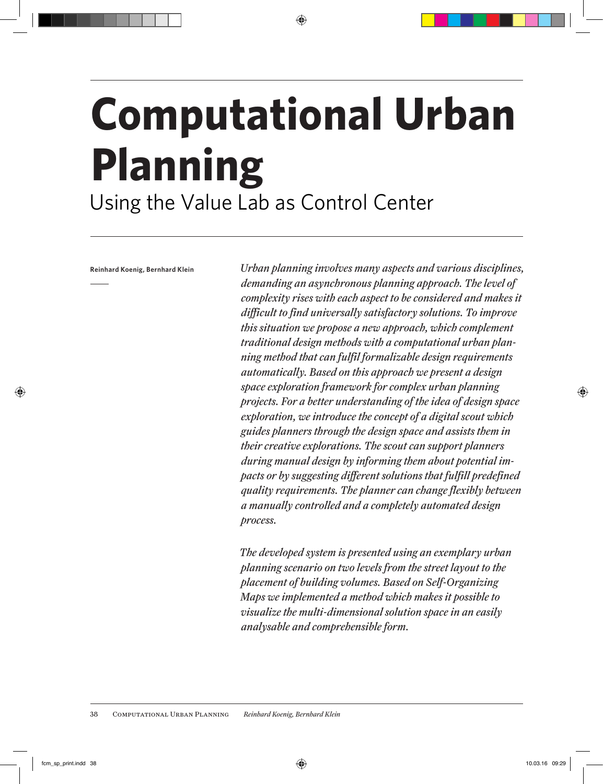# **Computational Urban Planning** Using the Value Lab as Control Center

**Reinhard Koenig, Bernhard Klein**

j

*Urban planning involves many aspects and various disciplines, demanding an asynchronous planning approach. The level of complexity rises with each aspect to be considered and makes it difficult to find universally satisfactory solutions. To improve this situation we propose a new approach, which complement traditional design methods with a computational urban planning method that can fulfil formalizable design requirements automatically. Based on this approach we present a design space exploration framework for complex urban planning projects. For a better understanding of the idea of design space exploration, we introduce the concept of a digital scout which guides planners through the design space and assists them in their creative explorations. The scout can support planners during manual design by informing them about potential impacts or by suggesting different solutions that fulfill predefined quality requirements. The planner can change flexibly between a manually controlled and a completely automated design process.*

*The developed system is presented using an exemplary urban planning scenario on two levels from the street layout to the placement of building volumes. Based on Self-Organizing Maps we implemented a method which makes it possible to visualize the multi-dimensional solution space in an easily analysable and comprehensible form.*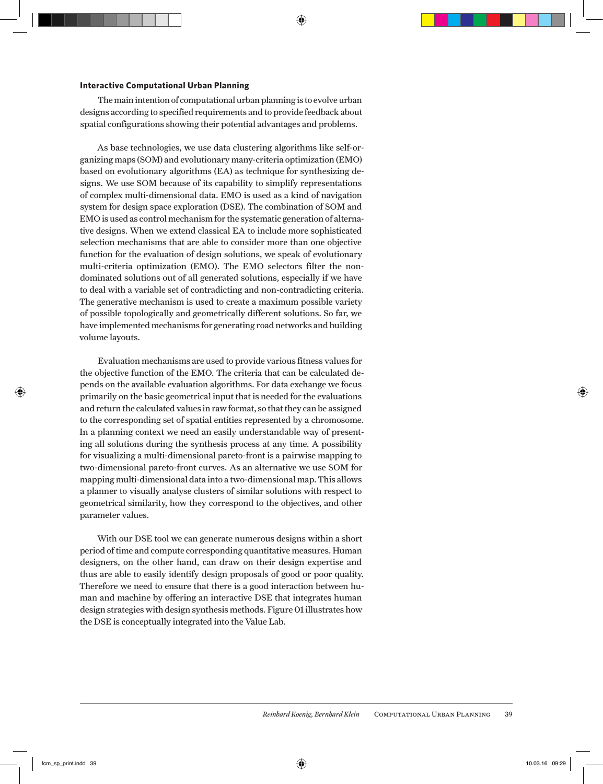#### **Interactive Computational Urban Planning**

The main intention of computational urban planning is to evolve urban designs according to specified requirements and to provide feedback about spatial configurations showing their potential advantages and problems.

As base technologies, we use data clustering algorithms like self-organizing maps (SOM) and evolutionary many-criteria optimization (EMO) based on evolutionary algorithms (EA) as technique for synthesizing designs. We use SOM because of its capability to simplify representations of complex multi-dimensional data. EMO is used as a kind of navigation system for design space exploration (DSE). The combination of SOM and EMO is used as control mechanism for the systematic generation of alternative designs. When we extend classical EA to include more sophisticated selection mechanisms that are able to consider more than one objective function for the evaluation of design solutions, we speak of evolutionary multi-criteria optimization (EMO). The EMO selectors filter the nondominated solutions out of all generated solutions, especially if we have to deal with a variable set of contradicting and non-contradicting criteria. The generative mechanism is used to create a maximum possible variety of possible topologically and geometrically different solutions. So far, we have implemented mechanisms for generating road networks and building volume layouts.

Evaluation mechanisms are used to provide various fitness values for the objective function of the EMO. The criteria that can be calculated depends on the available evaluation algorithms. For data exchange we focus primarily on the basic geometrical input that is needed for the evaluations and return the calculated values in raw format, so that they can be assigned to the corresponding set of spatial entities represented by a chromosome. In a planning context we need an easily understandable way of presenting all solutions during the synthesis process at any time. A possibility for visualizing a multi-dimensional pareto-front is a pairwise mapping to two-dimensional pareto-front curves. As an alternative we use SOM for mapping multi-dimensional data into a two-dimensional map. This allows a planner to visually analyse clusters of similar solutions with respect to geometrical similarity, how they correspond to the objectives, and other parameter values.

With our DSE tool we can generate numerous designs within a short period of time and compute corresponding quantitative measures. Human designers, on the other hand, can draw on their design expertise and thus are able to easily identify design proposals of good or poor quality. Therefore we need to ensure that there is a good interaction between human and machine by offering an interactive DSE that integrates human design strategies with design synthesis methods. Figure 01 illustrates how the DSE is conceptually integrated into the Value Lab.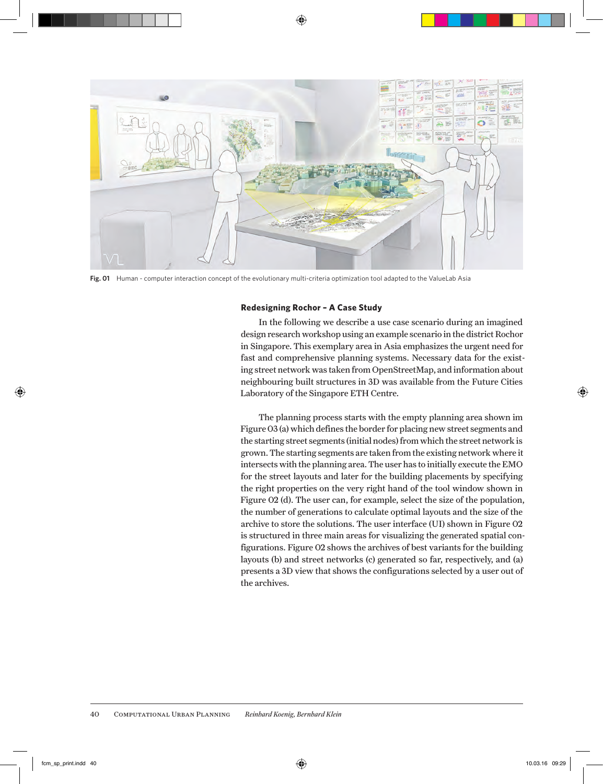

**Fig. 01** Human - computer interaction concept of the evolutionary multi-criteria optimization tool adapted to the ValueLab Asia

#### **Redesigning Rochor – A Case Study**

In the following we describe a use case scenario during an imagined design research workshop using an example scenario in the district Rochor in Singapore. This exemplary area in Asia emphasizes the urgent need for fast and comprehensive planning systems. Necessary data for the existing street network was taken from OpenStreetMap, and information about neighbouring built structures in 3D was available from the Future Cities Laboratory of the Singapore ETH Centre.

The planning process starts with the empty planning area shown im Figure 03 (a) which defines the border for placing new street segments and the starting street segments (initial nodes) from which the street network is grown. The starting segments are taken from the existing network where it intersects with the planning area. The user has to initially execute the EMO for the street layouts and later for the building placements by specifying the right properties on the very right hand of the tool window shown in Figure 02 (d). The user can, for example, select the size of the population, the number of generations to calculate optimal layouts and the size of the archive to store the solutions. The user interface (UI) shown in Figure 02 is structured in three main areas for visualizing the generated spatial configurations. Figure 02 shows the archives of best variants for the building layouts (b) and street networks (c) generated so far, respectively, and (a) presents a 3D view that shows the configurations selected by a user out of the archives.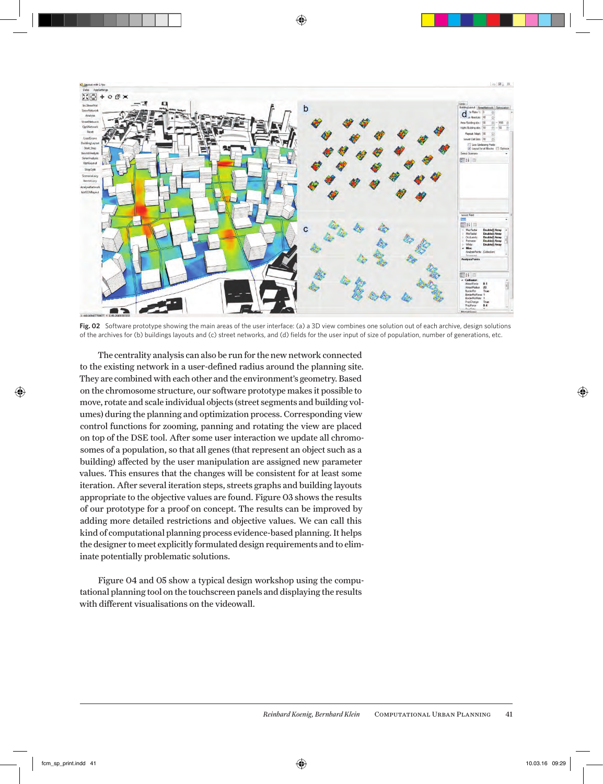

**Fig. 02** Software prototype showing the main areas of the user interface: (a) a 3D view combines one solution out of each archive, design solutions of the archives for (b) buildings layouts and (c) street networks, and (d) fields for the user input of size of population, number of generations, etc.

The centrality analysis can also be run for the new network connected to the existing network in a user-defined radius around the planning site. They are combined with each other and the environment's geometry. Based on the chromosome structure, our software prototype makes it possible to move, rotate and scale individual objects (street segments and building volumes) during the planning and optimization process. Corresponding view control functions for zooming, panning and rotating the view are placed on top of the DSE tool. After some user interaction we update all chromosomes of a population, so that all genes (that represent an object such as a building) affected by the user manipulation are assigned new parameter values. This ensures that the changes will be consistent for at least some iteration. After several iteration steps, streets graphs and building layouts appropriate to the objective values are found. Figure 03 shows the results of our prototype for a proof on concept. The results can be improved by adding more detailed restrictions and objective values. We can call this kind of computational planning process evidence-based planning. It helps the designer to meet explicitly formulated design requirements and to eliminate potentially problematic solutions.

Figure 04 and 05 show a typical design workshop using the computational planning tool on the touchscreen panels and displaying the results with different visualisations on the videowall.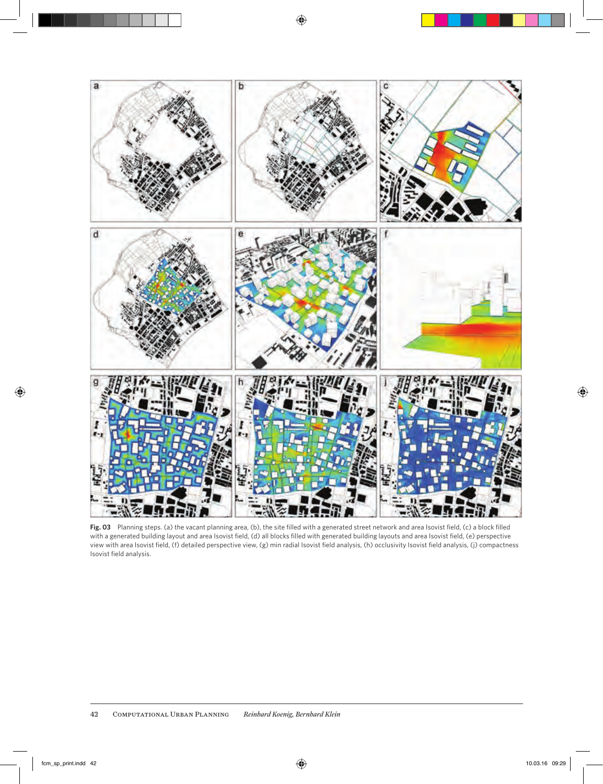

**Fig. 03** Planning steps. (a) the vacant planning area, (b), the site filled with a generated street network and area Isovist field, (c) a block filled with a generated building layout and area Isovist field, (d) all blocks filled with generated building layouts and area Isovist field, (e) perspective view with area Isovist field, (f) detailed perspective view, (g) min radial Isovist field analysis, (h) occlusivity Isovist field analysis, (j) compactness Isovist field analysis.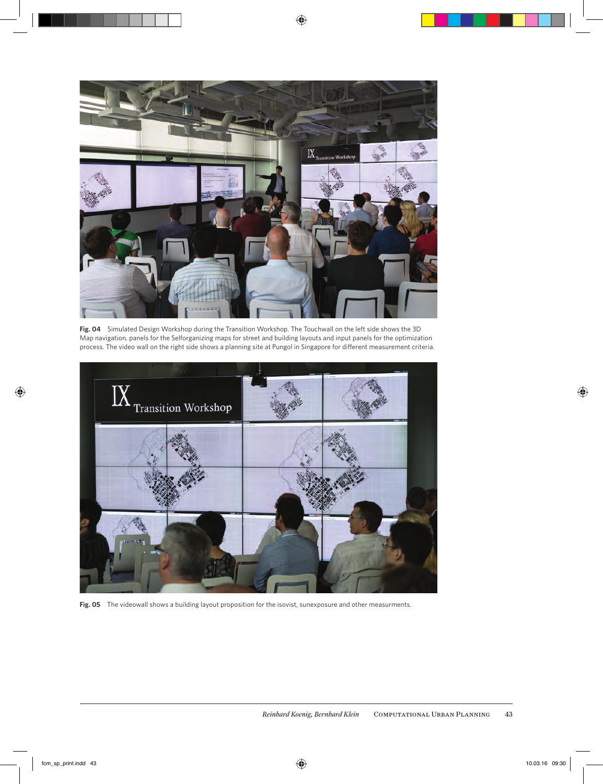

**Fig. 04** Simulated Design Workshop during the Transition Workshop. The Touchwall on the left side shows the 3D Map navigation, panels for the Selforganizing maps for street and building layouts and input panels for the optimization process. The video wall on the right side shows a planning site at Pungol in Singapore for different measurement criteria.



Fig. 05 The videowall shows a building layout proposition for the isovist, sunexposure and other measurments.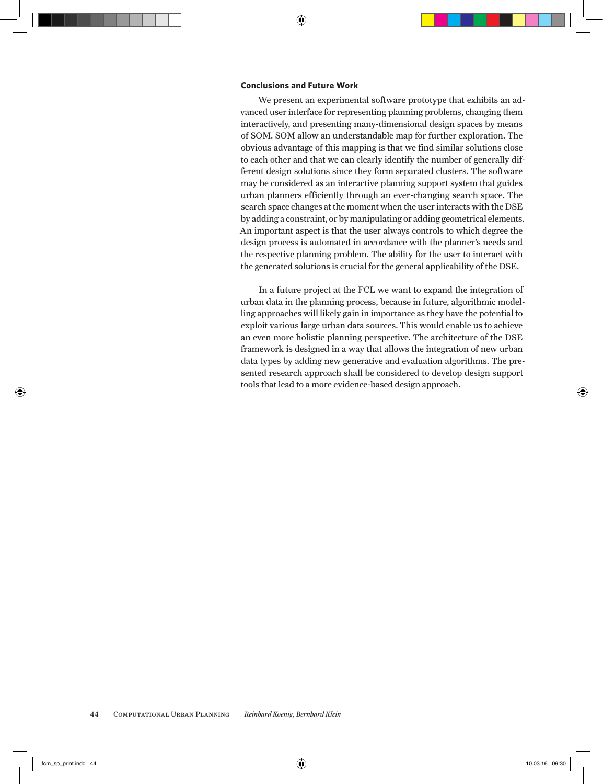#### **Conclusions and Future Work**

We present an experimental software prototype that exhibits an advanced user interface for representing planning problems, changing them interactively, and presenting many-dimensional design spaces by means of SOM. SOM allow an understandable map for further exploration. The obvious advantage of this mapping is that we find similar solutions close to each other and that we can clearly identify the number of generally different design solutions since they form separated clusters. The software may be considered as an interactive planning support system that guides urban planners efficiently through an ever-changing search space. The search space changes at the moment when the user interacts with the DSE by adding a constraint, or by manipulating or adding geometrical elements. An important aspect is that the user always controls to which degree the design process is automated in accordance with the planner's needs and the respective planning problem. The ability for the user to interact with the generated solutions is crucial for the general applicability of the DSE.

In a future project at the FCL we want to expand the integration of urban data in the planning process, because in future, algorithmic modelling approaches will likely gain in importance as they have the potential to exploit various large urban data sources. This would enable us to achieve an even more holistic planning perspective. The architecture of the DSE framework is designed in a way that allows the integration of new urban data types by adding new generative and evaluation algorithms. The presented research approach shall be considered to develop design support tools that lead to a more evidence-based design approach.